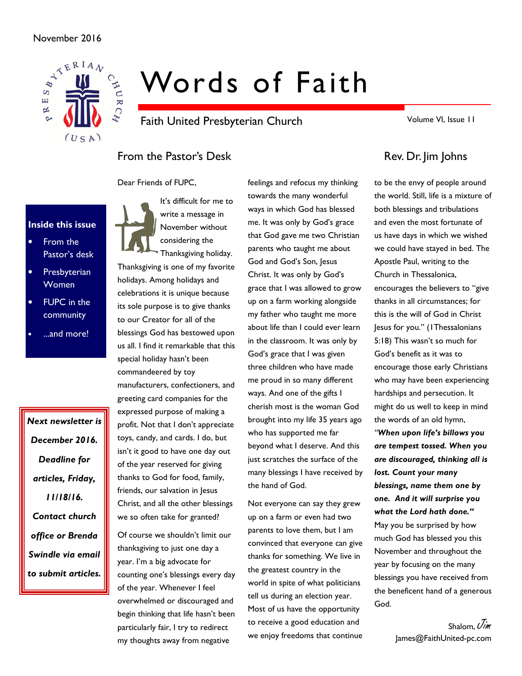## November 2016



# Words of Faith

Faith United Presbyterian Church

Volume VI, Issue 11

# From the Pastor's Desk Rev. Dr. Jim Johns

Dear Friends of FUPC,

# Inside this issue

- From the Pastor's desk
- **Presbyterian** Women
- FUPC in the community
- ...and more!

Next newsletter is December 2016. Deadline for articles, Friday, 11/18/16. Contact church office or Brenda Swindle via email to submit articles.

It's difficult for me to write a message in November without considering the

Thanksgiving holiday. Thanksgiving is one of my favorite holidays. Among holidays and celebrations it is unique because its sole purpose is to give thanks to our Creator for all of the blessings God has bestowed upon us all. I find it remarkable that this special holiday hasn't been commandeered by toy manufacturers, confectioners, and greeting card companies for the expressed purpose of making a profit. Not that I don't appreciate toys, candy, and cards. I do, but isn't it good to have one day out of the year reserved for giving thanks to God for food, family, friends, our salvation in Jesus Christ, and all the other blessings we so often take for granted?

Of course we shouldn't limit our thanksgiving to just one day a year. I'm a big advocate for counting one's blessings every day of the year. Whenever I feel overwhelmed or discouraged and begin thinking that life hasn't been particularly fair, I try to redirect my thoughts away from negative

feelings and refocus my thinking towards the many wonderful ways in which God has blessed me. It was only by God's grace that God gave me two Christian parents who taught me about God and God's Son, Jesus Christ. It was only by God's grace that I was allowed to grow up on a farm working alongside my father who taught me more about life than I could ever learn in the classroom. It was only by God's grace that I was given three children who have made me proud in so many different ways. And one of the gifts I cherish most is the woman God brought into my life 35 years ago who has supported me far beyond what I deserve. And this just scratches the surface of the many blessings I have received by the hand of God.

Not everyone can say they grew up on a farm or even had two parents to love them, but I am convinced that everyone can give thanks for something. We live in the greatest country in the world in spite of what politicians tell us during an election year. Most of us have the opportunity to receive a good education and we enjoy freedoms that continue

to be the envy of people around the world. Still, life is a mixture of both blessings and tribulations and even the most fortunate of us have days in which we wished we could have stayed in bed. The Apostle Paul, writing to the Church in Thessalonica, encourages the believers to "give thanks in all circumstances; for this is the will of God in Christ Jesus for you." (1Thessalonians 5:18) This wasn't so much for God's benefit as it was to encourage those early Christians who may have been experiencing hardships and persecution. It might do us well to keep in mind the words of an old hymn, "When upon life's billows you are tempest tossed. When you are discouraged, thinking all is lost. Count your many blessings, name them one by one. And it will surprise you what the Lord hath done." May you be surprised by how much God has blessed you this November and throughout the year by focusing on the many blessings you have received from the beneficent hand of a generous God.

> Shalom, Uim James@FaithUnited-pc.com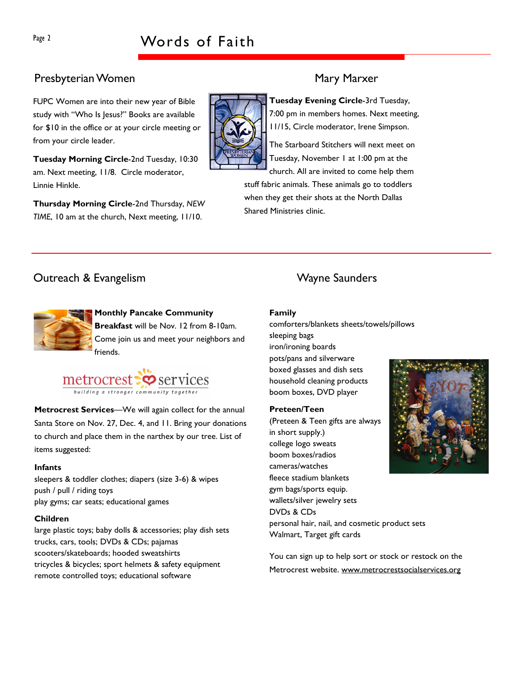# Page 2 Words of Faith

## Presbyterian Women Mary Marxer

FUPC Women are into their new year of Bible study with "Who Is Jesus?" Books are available for \$10 in the office or at your circle meeting or from your circle leader.

Tuesday Morning Circle-2nd Tuesday, 10:30 am. Next meeting, 11/8. Circle moderator, Linnie Hinkle.

Thursday Morning Circle-2nd Thursday, NEW TIME, 10 am at the church, Next meeting, 11/10.

Tuesday Evening Circle-3rd Tuesday, 7:00 pm in members homes. Next meeting, 11/15, Circle moderator, Irene Simpson.

The Starboard Stitchers will next meet on Tuesday, November 1 at 1:00 pm at the church. All are invited to come help them

stuff fabric animals. These animals go to toddlers when they get their shots at the North Dallas Shared Ministries clinic.

# **Outreach & Evangelism Controllering Controllering Controllering Controllering Controllering Controllering Controllering Controllering Controllering Controllering Controllering Controllering Controllering Controllering Con**

Monthly Pancake Community Breakfast will be Nov. 12 from 8-10am. Come join us and meet your neighbors and friends.



Metrocrest Services—We will again collect for the annual Santa Store on Nov. 27, Dec. 4, and 11. Bring your donations to church and place them in the narthex by our tree. List of items suggested:

#### Infants

sleepers & toddler clothes; diapers (size 3-6) & wipes push / pull / riding toys play gyms; car seats; educational games

#### Children

large plastic toys; baby dolls & accessories; play dish sets trucks, cars, tools; DVDs & CDs; pajamas scooters/skateboards; hooded sweatshirts tricycles & bicycles; sport helmets & safety equipment remote controlled toys; educational software

#### Family

comforters/blankets sheets/towels/pillows sleeping bags iron/ironing boards pots/pans and silverware boxed glasses and dish sets household cleaning products boom boxes, DVD player

#### Preteen/Teen

(Preteen & Teen gifts are always in short supply.) college logo sweats boom boxes/radios cameras/watches fleece stadium blankets gym bags/sports equip. wallets/silver jewelry sets DVDs & CDs



personal hair, nail, and cosmetic product sets Walmart, Target gift cards

You can sign up to help sort or stock or restock on the Metrocrest website. www.metrocrestsocialservices.org

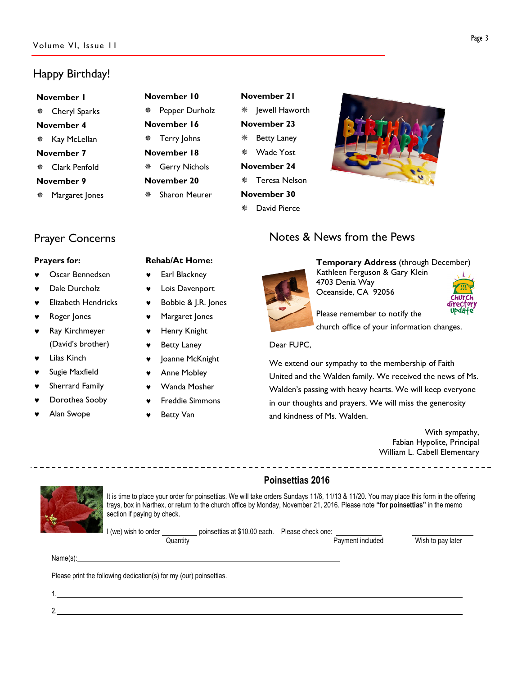# Happy Birthday!

November 1 Cheryl Sparks November 4 ※ Kay McLellan November 7 Clark Penfold November 9 Margaret Jones

| November 10 |                 |  |  |  |  |
|-------------|-----------------|--|--|--|--|
|             | Pepper Durholz  |  |  |  |  |
| November 16 |                 |  |  |  |  |
|             | ※ Terry Johns   |  |  |  |  |
| November 18 |                 |  |  |  |  |
|             | * Gerry Nichols |  |  |  |  |
| November 20 |                 |  |  |  |  |
|             | ※ Sharon Meurer |  |  |  |  |

| November 21        |                    |  |  |  |  |
|--------------------|--------------------|--|--|--|--|
|                    | *  ewell Haworth   |  |  |  |  |
| November 23        |                    |  |  |  |  |
|                    | <b>Betty Laney</b> |  |  |  |  |
|                    | * Wade Yost        |  |  |  |  |
| <b>November 24</b> |                    |  |  |  |  |
|                    | ※ Teresa Nelson    |  |  |  |  |
| November 30        |                    |  |  |  |  |
|                    | ※ David Pierce     |  |  |  |  |



# Notes & News from the Pews

#### Prayers for:

Oscar Bennedsen

Prayer Concerns

- Dale Durcholz
- **Elizabeth Hendricks**
- Roger Jones
- Ray Kirchmeyer (David's brother)
- **Lilas Kinch**
- Sugie Maxfield
- Sherrard Family
- Dorothea Sooby
- Alan Swope

### Rehab/At Home:

- ♥ Earl Blackney
- ♥ Lois Davenport
- ♥ Bobbie & J.R. Jones
- ♥ Margaret Jones
- ♥ Henry Knight
- ♥ Betty Laney
- ♥ Joanne McKnight
- ♥ Anne Mobley
- Wanda Mosher
- **Freddie Simmons**
- **Betty Van**

----------------------------------

#### Kathleen Ferguson & Gary Klein 4703 Denia Way Oceanside, CA 92056

Temporary Address (through December)



Please remember to notify the church office of your information changes.

#### Dear FUPC,

We extend our sympathy to the membership of Faith United and the Walden family. We received the news of Ms. Walden's passing with heavy hearts. We will keep everyone in our thoughts and prayers. We will miss the generosity and kindness of Ms. Walden.

With sympathy, Fabian Hypolite, Principal William L. Cabell Elementary

### Poinsettias 2016

It is time to place your order for poinsettias. We will take orders Sundays 11/6, 11/13 & 11/20. You may place this form in the offering trays, box in Narthex, or return to the church office by Monday, November 21, 2016. Please note "for poinsettias" in the memo section if paying by check.

I (we) wish to order \_\_\_\_\_\_\_\_\_\_\_\_ poinsettias at \$10.00 each. Please check one:<br>Quantity

Payment included Wish to pay later

Name(s):

2.

Please print the following dedication(s) for my (our) poinsettias.

1.